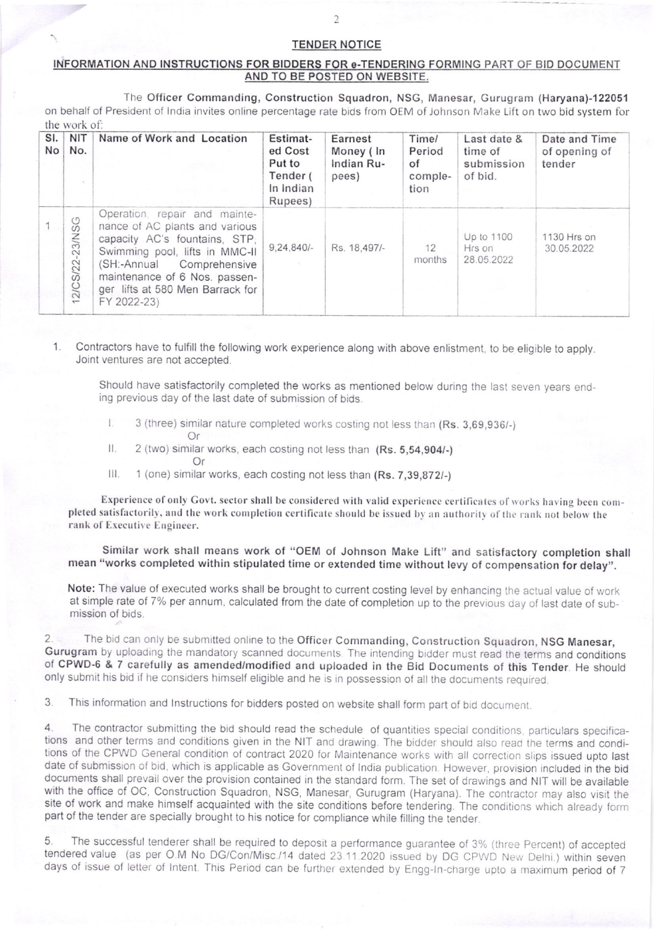## TENDER NOTICE

## INFORMATION AND INSTRUCTIONS FOR BIDDERS FOR e-TENDERING FORMING PART OF BID DOCUMENT AND TO BE POSTED ON WEBSITE.

The Officer Commanding, Construction Squadron, NSG, Manesar, Gurugram (Haryana)-122051 on behalf of President of India invites online percentage rate bids from OEM of Johnson Make Lift on two bid system for the work of:

| SI.<br>No | NIT<br>No.             | Name of Work and Location                                                                                                                                                                                                                           | Estimat-<br>ed Cost<br>Put to<br>Tender (<br>In Indian<br>Rupees) | Earnest<br>Money (In<br>Indian Ru-<br>pees) | Time/<br>Period<br>of<br>comple-<br>tion | Last date &<br>time of<br>submission<br>of bid. | Date and Time<br>of opening of<br>tender |
|-----------|------------------------|-----------------------------------------------------------------------------------------------------------------------------------------------------------------------------------------------------------------------------------------------------|-------------------------------------------------------------------|---------------------------------------------|------------------------------------------|-------------------------------------------------|------------------------------------------|
|           | SG<br>23/N<br>12/CS/22 | Operation, repair and mainte-<br>nance of AC plants and various<br>capacity AC's fountains, STP,<br>Swimming pool, lifts in MMC-II<br>(SH:-Annual Comprehensive<br>maintenance of 6 Nos. passen-<br>ger lifts at 580 Men Barrack for<br>FY 2022-23) | $9,24,840/-$                                                      | Rs. 18,497/-                                | 12<br>months                             | Up to 1100<br>Hrs on<br>28.05.2022              | 1130 Hrs on<br>30.05.2022                |

Contractors have to fulfill the following work experience along with above enlistment, to be eligible to apply. Joint ventures are not accepted

Should have satisfactorily completed the works as mentioned below during the last seven years ending previous day of the last date of submission of bids.

- $\mathbf{L}$ 3 (three) similar nature completed works costing not less than (Rs. 3,69,936/-) Or
- $\mathbf{H}$ . 2 (two) similar works, each costing not less than (Rs. 5,54,904/-)

Or

Ш. 1 (one) similar works, each costing not less than (Rs. 7,39,8721)

Experience of only Govt. sector shall be considered with valid experience certificates of works having been completed satisfactorily, and the work completion certificate should be issued by an authority of the rank not below the rank of Executive Engineer.

Similar work shall means work of "OEM of Johnson Make Lift" and satisfactory completion shall mean "works completed within stipulated time or extended time without levy of compensation for delay".

Note: The value of executed works shall be brought to current costing level by enhancing the actual value of work at simple rate of 7% per annum, calculated from the date of completion up to the previous day of last date of submission of bids.

The bid can only be submitted online to the Officer Commanding, Construction Squadron, NSG Manesar, Gurugram by uploading the mandatory scanned documents. The intending bidder must read the terms and conditions of CPWD-6 & 7 carefully as amended/modified and uploaded in the Bid Documents of this Tender. He should only submit his bid if he considers himself eligible and he is in possession of all the documents required

3. This information and lnstructions for bidders posted on website shall form part of bld document.

4. The contractor submitting the bid should read the schedule of quantities special conditions, particulars specifications and other terms and conditions given in the NIT and drawing. The bidder should also read the terms and conditions of the CPWD General condition of contract 2020 for Maintenance works with all correction slips issued upto last date of submission of bid, which is applicable as Government of India publication. However, provision included in the bid documents shall prevail over the provision contained in the standard form. The set of drawings and NIT will be available with the office of OC, Construction Squadron, NSG, Manesar, Gurugram (Haryana). The contractor may also visit the site of work and make himself acquainted with the site conditions before tendering. The conditions which already form part of the tender are specially brought to his notice for compliance while filling the tender.

5. The successful tenderer shall be required to deposit a performance guarantee of 3% (three Percent) of accepted tendered value (as per O.M No DG/Con/Misc./14 dated 23.11.2020 issued by DG CPWD New Delhi.) within seven days of issue of letter of Intent. This Period can be further extended by Engg-In-charge upto a maximum period of 7